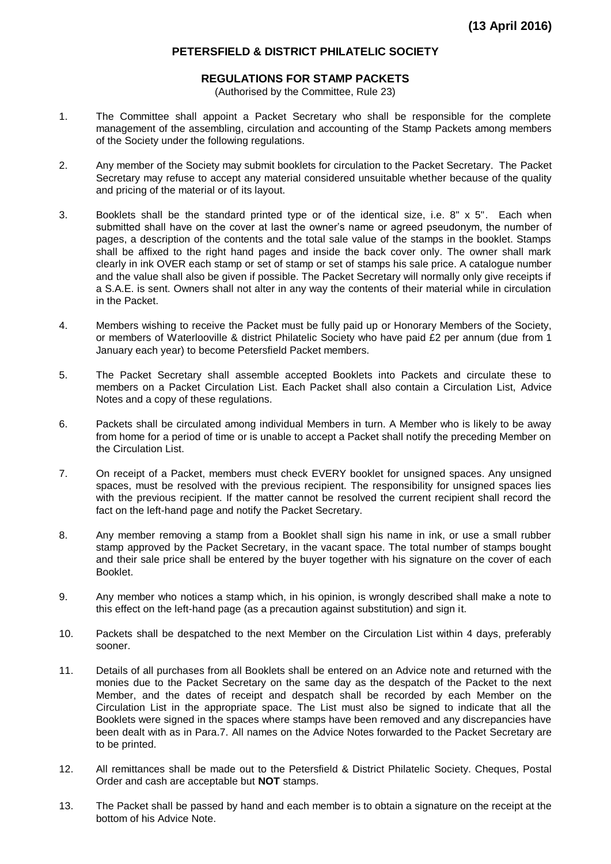## **PETERSFIELD & DISTRICT PHILATELIC SOCIETY**

## **REGULATIONS FOR STAMP PACKETS**

(Authorised by the Committee, Rule 23)

- 1. The Committee shall appoint a Packet Secretary who shall be responsible for the complete management of the assembling, circulation and accounting of the Stamp Packets among members of the Society under the following regulations.
- 2. Any member of the Society may submit booklets for circulation to the Packet Secretary. The Packet Secretary may refuse to accept any material considered unsuitable whether because of the quality and pricing of the material or of its layout.
- 3. Booklets shall be the standard printed type or of the identical size, i.e. 8" x 5". Each when submitted shall have on the cover at last the owner's name or agreed pseudonym, the number of pages, a description of the contents and the total sale value of the stamps in the booklet. Stamps shall be affixed to the right hand pages and inside the back cover only. The owner shall mark clearly in ink OVER each stamp or set of stamp or set of stamps his sale price. A catalogue number and the value shall also be given if possible. The Packet Secretary will normally only give receipts if a S.A.E. is sent. Owners shall not alter in any way the contents of their material while in circulation in the Packet.
- 4. Members wishing to receive the Packet must be fully paid up or Honorary Members of the Society, or members of Waterlooville & district Philatelic Society who have paid £2 per annum (due from 1 January each year) to become Petersfield Packet members.
- 5. The Packet Secretary shall assemble accepted Booklets into Packets and circulate these to members on a Packet Circulation List. Each Packet shall also contain a Circulation List, Advice Notes and a copy of these regulations.
- 6. Packets shall be circulated among individual Members in turn. A Member who is likely to be away from home for a period of time or is unable to accept a Packet shall notify the preceding Member on the Circulation List.
- 7. On receipt of a Packet, members must check EVERY booklet for unsigned spaces. Any unsigned spaces, must be resolved with the previous recipient. The responsibility for unsigned spaces lies with the previous recipient. If the matter cannot be resolved the current recipient shall record the fact on the left-hand page and notify the Packet Secretary.
- 8. Any member removing a stamp from a Booklet shall sign his name in ink, or use a small rubber stamp approved by the Packet Secretary, in the vacant space. The total number of stamps bought and their sale price shall be entered by the buyer together with his signature on the cover of each Booklet.
- 9. Any member who notices a stamp which, in his opinion, is wrongly described shall make a note to this effect on the left-hand page (as a precaution against substitution) and sign it.
- 10. Packets shall be despatched to the next Member on the Circulation List within 4 days, preferably sooner.
- 11. Details of all purchases from all Booklets shall be entered on an Advice note and returned with the monies due to the Packet Secretary on the same day as the despatch of the Packet to the next Member, and the dates of receipt and despatch shall be recorded by each Member on the Circulation List in the appropriate space. The List must also be signed to indicate that all the Booklets were signed in the spaces where stamps have been removed and any discrepancies have been dealt with as in Para.7. All names on the Advice Notes forwarded to the Packet Secretary are to be printed.
- 12. All remittances shall be made out to the Petersfield & District Philatelic Society. Cheques, Postal Order and cash are acceptable but **NOT** stamps.
- 13. The Packet shall be passed by hand and each member is to obtain a signature on the receipt at the bottom of his Advice Note.